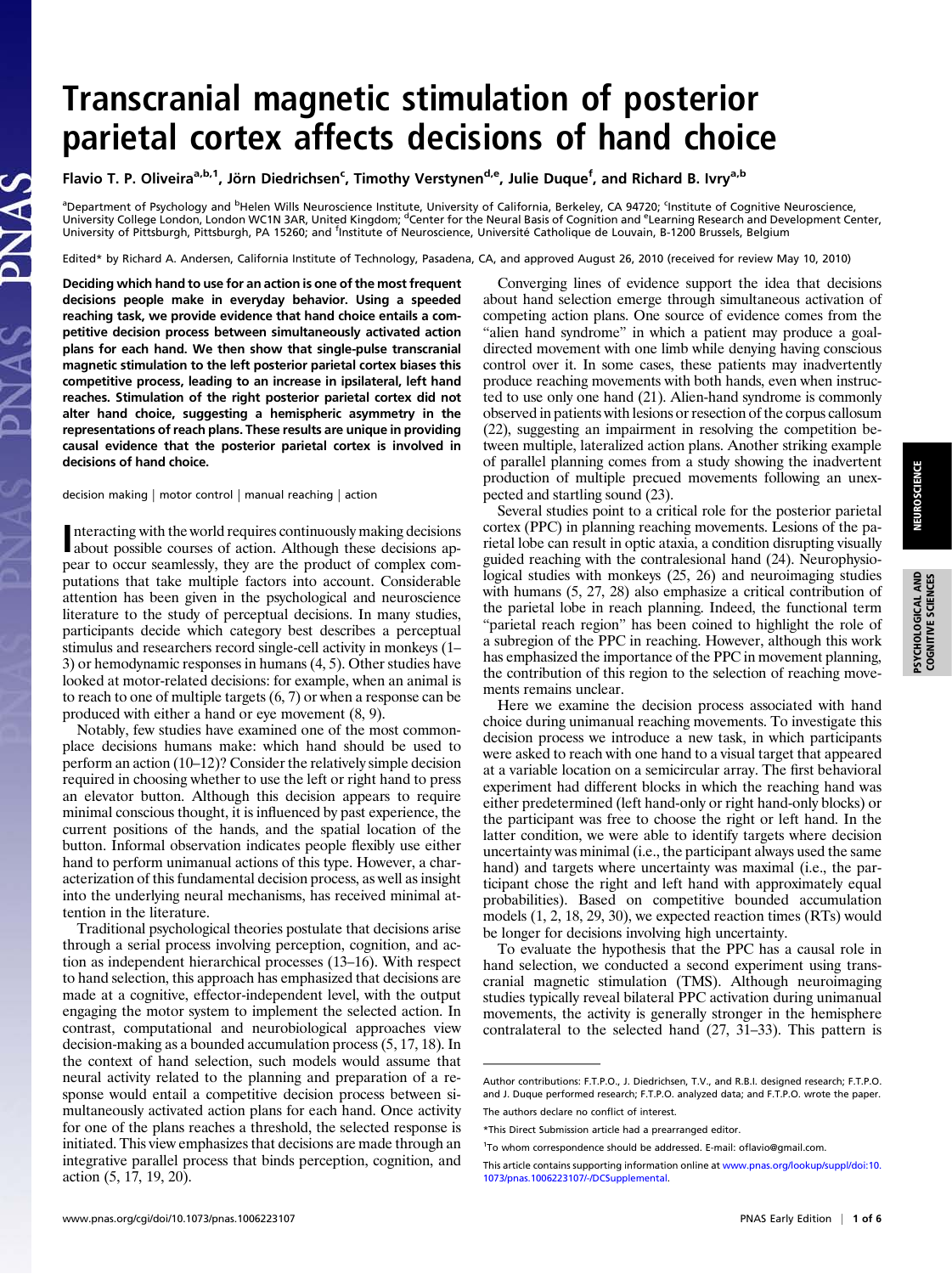## Transcranial magnetic stimulation of posterior parietal cortex affects decisions of hand choice

Flavio T. P. Oliveira<sup>a,b,1</sup>, Jörn Diedrichsen<sup>c</sup>, Timothy Verstynen<sup>d,e</sup>, Julie Duque<sup>f</sup>, and Richard B. Ivry<sup>a,b</sup>

<sup>a</sup>Department of Psychology and <sup>b</sup>Helen Wills Neuroscience Institute, University of California, Berkeley, CA 94720; <sup>c</sup>Institute of Cognitive Neuroscience,<br>University College London, London WC1N 3AR, United Kingdom; <sup>d</sup>Ce University of Pittsburgh, Pittsburgh, PA 15260; and <sup>f</sup>Institute of Neuroscience, Université Catholique de Louvain, B-1200 Brussels, Belgium

Edited\* by Richard A. Andersen, California Institute of Technology, Pasadena, CA, and approved August 26, 2010 (received for review May 10, 2010)

Deciding which hand to use for an action is one of the most frequent decisions people make in everyday behavior. Using a speeded reaching task, we provide evidence that hand choice entails a competitive decision process between simultaneously activated action plans for each hand. We then show that single-pulse transcranial magnetic stimulation to the left posterior parietal cortex biases this competitive process, leading to an increase in ipsilateral, left hand reaches. Stimulation of the right posterior parietal cortex did not alter hand choice, suggesting a hemispheric asymmetry in the representations of reach plans. These results are unique in providing causal evidence that the posterior parietal cortex is involved in decisions of hand choice.

decision making | motor control | manual reaching | action

nteracting with the world requires continuously making decisions about possible courses of action. Although these decisions apabout possible courses of action. Although these decisions appear to occur seamlessly, they are the product of complex computations that take multiple factors into account. Considerable attention has been given in the psychological and neuroscience literature to the study of perceptual decisions. In many studies, participants decide which category best describes a perceptual stimulus and researchers record single-cell activity in monkeys (1– 3) or hemodynamic responses in humans (4, 5). Other studies have looked at motor-related decisions: for example, when an animal is to reach to one of multiple targets (6, 7) or when a response can be produced with either a hand or eye movement (8, 9).

Notably, few studies have examined one of the most commonplace decisions humans make: which hand should be used to perform an action (10–12)? Consider the relatively simple decision required in choosing whether to use the left or right hand to press an elevator button. Although this decision appears to require minimal conscious thought, it is influenced by past experience, the current positions of the hands, and the spatial location of the button. Informal observation indicates people flexibly use either hand to perform unimanual actions of this type. However, a characterization of this fundamental decision process, as well as insight into the underlying neural mechanisms, has received minimal attention in the literature.

Traditional psychological theories postulate that decisions arise through a serial process involving perception, cognition, and action as independent hierarchical processes (13–16). With respect to hand selection, this approach has emphasized that decisions are made at a cognitive, effector-independent level, with the output engaging the motor system to implement the selected action. In contrast, computational and neurobiological approaches view decision-making as a bounded accumulation process (5, 17, 18). In the context of hand selection, such models would assume that neural activity related to the planning and preparation of a response would entail a competitive decision process between simultaneously activated action plans for each hand. Once activity for one of the plans reaches a threshold, the selected response is initiated. This view emphasizes that decisions are made through an integrative parallel process that binds perception, cognition, and action (5, 17, 19, 20).

Converging lines of evidence support the idea that decisions about hand selection emerge through simultaneous activation of competing action plans. One source of evidence comes from the "alien hand syndrome" in which a patient may produce a goaldirected movement with one limb while denying having conscious control over it. In some cases, these patients may inadvertently produce reaching movements with both hands, even when instructed to use only one hand (21). Alien-hand syndrome is commonly observed in patients with lesions or resection of the corpus callosum (22), suggesting an impairment in resolving the competition between multiple, lateralized action plans. Another striking example of parallel planning comes from a study showing the inadvertent production of multiple precued movements following an unexpected and startling sound (23).

Several studies point to a critical role for the posterior parietal cortex (PPC) in planning reaching movements. Lesions of the parietal lobe can result in optic ataxia, a condition disrupting visually guided reaching with the contralesional hand (24). Neurophysiological studies with monkeys (25, 26) and neuroimaging studies with humans (5, 27, 28) also emphasize a critical contribution of the parietal lobe in reach planning. Indeed, the functional term "parietal reach region" has been coined to highlight the role of a subregion of the PPC in reaching. However, although this work has emphasized the importance of the PPC in movement planning, the contribution of this region to the selection of reaching movements remains unclear.

Here we examine the decision process associated with hand choice during unimanual reaching movements. To investigate this decision process we introduce a new task, in which participants were asked to reach with one hand to a visual target that appeared at a variable location on a semicircular array. The first behavioral experiment had different blocks in which the reaching hand was either predetermined (left hand-only or right hand-only blocks) or the participant was free to choose the right or left hand. In the latter condition, we were able to identify targets where decision uncertainty was minimal (i.e., the participant always used the same hand) and targets where uncertainty was maximal (i.e., the participant chose the right and left hand with approximately equal probabilities). Based on competitive bounded accumulation models (1, 2, 18, 29, 30), we expected reaction times (RTs) would be longer for decisions involving high uncertainty.

To evaluate the hypothesis that the PPC has a causal role in hand selection, we conducted a second experiment using transcranial magnetic stimulation (TMS). Although neuroimaging studies typically reveal bilateral PPC activation during unimanual movements, the activity is generally stronger in the hemisphere contralateral to the selected hand (27, 31–33). This pattern is

PSYCHOLOGICAL AND COGNITIVE SCIENCES

**SYCHOLOGICAL AND**<br>COGNITIVE SCIENCES

Author contributions: F.T.P.O., J. Diedrichsen, T.V., and R.B.I. designed research; F.T.P.O. and J. Duque performed research; F.T.P.O. analyzed data; and F.T.P.O. wrote the paper. The authors declare no conflict of interest.

<sup>\*</sup>This Direct Submission article had a prearranged editor.

<sup>&</sup>lt;sup>1</sup>To whom correspondence should be addressed. E-mail: ofl[avio@gmail.com.](mailto:oflavio@gmail.com)

This article contains supporting information online at [www.pnas.org/lookup/suppl/doi:10.](http://www.pnas.org/lookup/suppl/doi:10.1073/pnas.1006223107/-/DCSupplemental) [1073/pnas.1006223107/-/DCSupplemental](http://www.pnas.org/lookup/suppl/doi:10.1073/pnas.1006223107/-/DCSupplemental).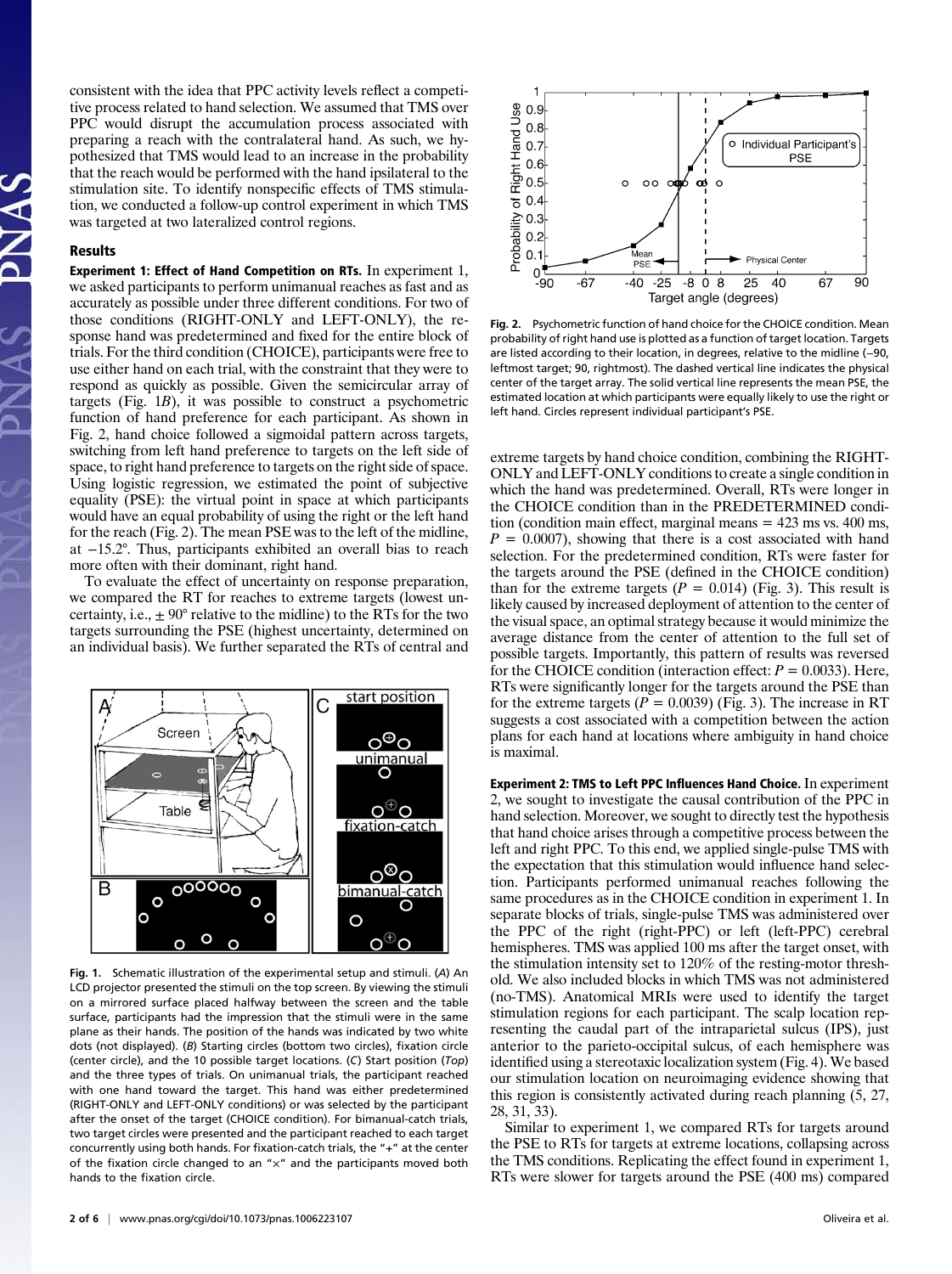consistent with the idea that PPC activity levels reflect a competitive process related to hand selection. We assumed that TMS over PPC would disrupt the accumulation process associated with preparing a reach with the contralateral hand. As such, we hypothesized that TMS would lead to an increase in the probability that the reach would be performed with the hand ipsilateral to the stimulation site. To identify nonspecific effects of TMS stimulation, we conducted a follow-up control experiment in which TMS was targeted at two lateralized control regions.

## Results

Experiment 1: Effect of Hand Competition on RTs. In experiment 1, we asked participants to perform unimanual reaches as fast and as accurately as possible under three different conditions. For two of those conditions (RIGHT-ONLY and LEFT-ONLY), the response hand was predetermined and fixed for the entire block of trials. For the third condition (CHOICE), participants were free to use either hand on each trial, with the constraint that they were to respond as quickly as possible. Given the semicircular array of targets (Fig. 1B), it was possible to construct a psychometric function of hand preference for each participant. As shown in Fig. 2, hand choice followed a sigmoidal pattern across targets, switching from left hand preference to targets on the left side of space, to right hand preference to targets on the right side of space. Using logistic regression, we estimated the point of subjective equality (PSE): the virtual point in space at which participants would have an equal probability of using the right or the left hand for the reach (Fig. 2). The mean PSE was to the left of the midline, at −15.2°. Thus, participants exhibited an overall bias to reach more often with their dominant, right hand.

To evaluate the effect of uncertainty on response preparation, we compared the RT for reaches to extreme targets (lowest uncertainty, i.e.,  $\pm 90^{\circ}$  relative to the midline) to the RTs for the two targets surrounding the PSE (highest uncertainty, determined on an individual basis). We further separated the RTs of central and



Fig. 1. Schematic illustration of the experimental setup and stimuli. (A) An LCD projector presented the stimuli on the top screen. By viewing the stimuli on a mirrored surface placed halfway between the screen and the table surface, participants had the impression that the stimuli were in the same plane as their hands. The position of the hands was indicated by two white dots (not displayed). (B) Starting circles (bottom two circles), fixation circle (center circle), and the 10 possible target locations. (C) Start position (Top) and the three types of trials. On unimanual trials, the participant reached with one hand toward the target. This hand was either predetermined (RIGHT-ONLY and LEFT-ONLY conditions) or was selected by the participant after the onset of the target (CHOICE condition). For bimanual-catch trials, two target circles were presented and the participant reached to each target concurrently using both hands. For fixation-catch trials, the "+" at the center of the fixation circle changed to an " $\times$ " and the participants moved both hands to the fixation circle.



Fig. 2. Psychometric function of hand choice for the CHOICE condition. Mean probability of right hand use is plotted as a function of target location. Targets are listed according to their location, in degrees, relative to the midline (−90, leftmost target; 90, rightmost). The dashed vertical line indicates the physical center of the target array. The solid vertical line represents the mean PSE, the estimated location at which participants were equally likely to use the right or left hand. Circles represent individual participant's PSE.

extreme targets by hand choice condition, combining the RIGHT-ONLY and LEFT-ONLY conditions to create a single condition in which the hand was predetermined. Overall, RTs were longer in the CHOICE condition than in the PREDETERMINED condition (condition main effect, marginal means = 423 ms vs. 400 ms,  $P = 0.0007$ , showing that there is a cost associated with hand selection. For the predetermined condition, RTs were faster for the targets around the PSE (defined in the CHOICE condition) than for the extreme targets ( $P = 0.014$ ) (Fig. 3). This result is likely caused by increased deployment of attention to the center of the visual space, an optimal strategy because it would minimize the average distance from the center of attention to the full set of possible targets. Importantly, this pattern of results was reversed for the CHOICE condition (interaction effect:  $P = 0.0033$ ). Here, RTs were significantly longer for the targets around the PSE than for the extreme targets ( $P = 0.0039$ ) (Fig. 3). The increase in RT suggests a cost associated with a competition between the action plans for each hand at locations where ambiguity in hand choice is maximal.

Experiment 2: TMS to Left PPC Influences Hand Choice. In experiment 2, we sought to investigate the causal contribution of the PPC in hand selection. Moreover, we sought to directly test the hypothesis that hand choice arises through a competitive process between the left and right PPC. To this end, we applied single-pulse TMS with the expectation that this stimulation would influence hand selection. Participants performed unimanual reaches following the same procedures as in the CHOICE condition in experiment 1. In separate blocks of trials, single-pulse TMS was administered over the PPC of the right (right-PPC) or left (left-PPC) cerebral hemispheres. TMS was applied 100 ms after the target onset, with the stimulation intensity set to 120% of the resting-motor threshold. We also included blocks in which TMS was not administered (no-TMS). Anatomical MRIs were used to identify the target stimulation regions for each participant. The scalp location representing the caudal part of the intraparietal sulcus (IPS), just anterior to the parieto-occipital sulcus, of each hemisphere was identified using a stereotaxic localization system (Fig. 4). We based our stimulation location on neuroimaging evidence showing that this region is consistently activated during reach planning (5, 27, 28, 31, 33).

Similar to experiment 1, we compared RTs for targets around the PSE to RTs for targets at extreme locations, collapsing across the TMS conditions. Replicating the effect found in experiment 1, RTs were slower for targets around the PSE (400 ms) compared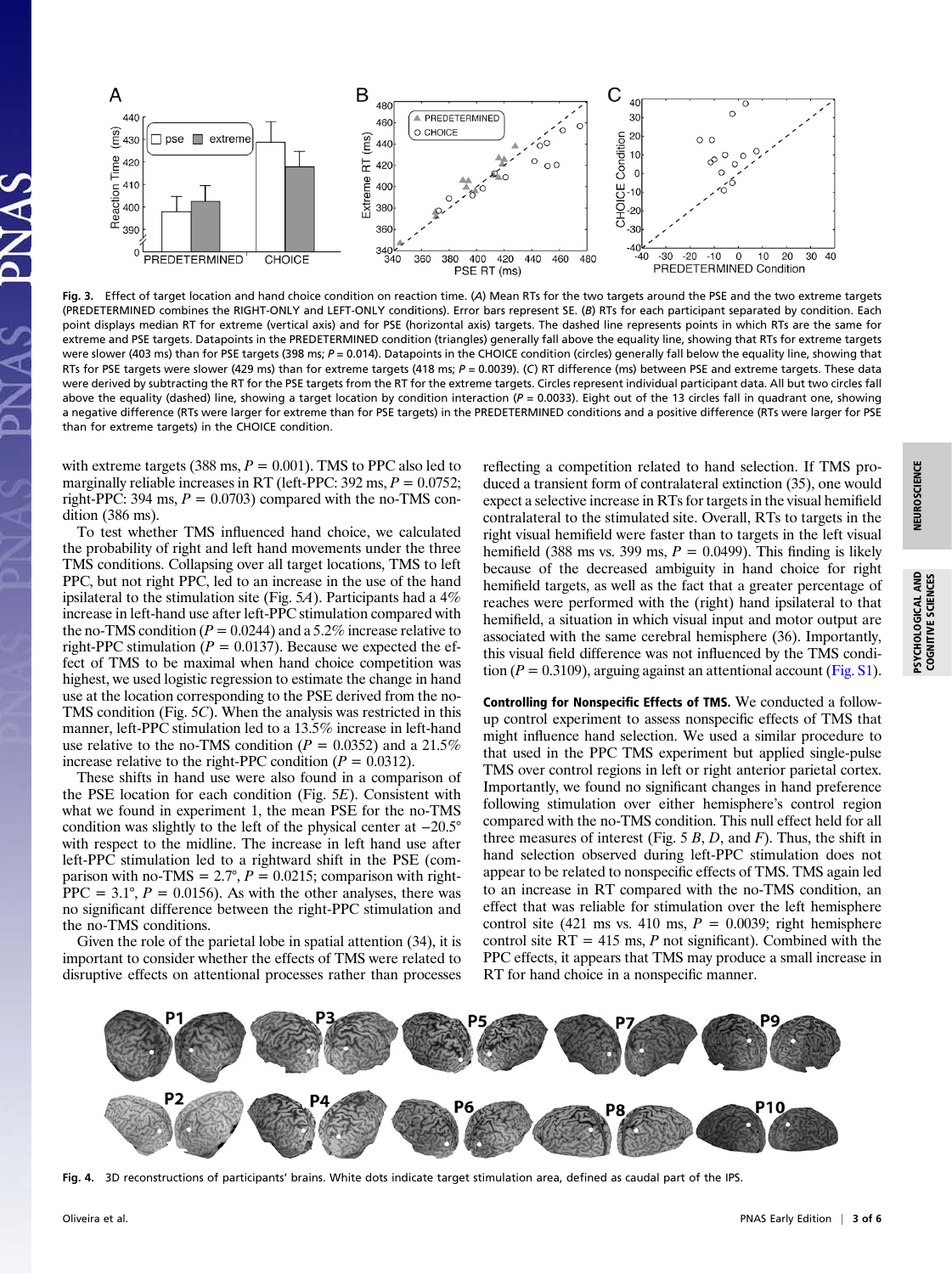

Fig. 3. Effect of target location and hand choice condition on reaction time. (A) Mean RTs for the two targets around the PSE and the two extreme targets (PREDETERMINED combines the RIGHT-ONLY and LEFT-ONLY conditions). Error bars represent SE. (B) RTs for each participant separated by condition. Each point displays median RT for extreme (vertical axis) and for PSE (horizontal axis) targets. The dashed line represents points in which RTs are the same for extreme and PSE targets. Datapoints in the PREDETERMINED condition (triangles) generally fall above the equality line, showing that RTs for extreme targets were slower (403 ms) than for PSE targets (398 ms;  $P = 0.014$ ). Datapoints in the CHOICE condition (circles) generally fall below the equality line, showing that RTs for PSE targets were slower (429 ms) than for extreme targets (418 ms; P = 0.0039). (C) RT difference (ms) between PSE and extreme targets. These data were derived by subtracting the RT for the PSE targets from the RT for the extreme targets. Circles represent individual participant data. All but two circles fall above the equality (dashed) line, showing a target location by condition interaction ( $P = 0.0033$ ). Eight out of the 13 circles fall in quadrant one, showing a negative difference (RTs were larger for extreme than for PSE targets) in the PREDETERMINED conditions and a positive difference (RTs were larger for PSE than for extreme targets) in the CHOICE condition.

with extreme targets (388 ms,  $P = 0.001$ ). TMS to PPC also led to marginally reliable increases in RT (left-PPC: 392 ms,  $P = 0.0752$ ; right-PPC: 394 ms,  $P = 0.0703$ ) compared with the no-TMS condition (386 ms).

To test whether TMS influenced hand choice, we calculated the probability of right and left hand movements under the three TMS conditions. Collapsing over all target locations, TMS to left PPC, but not right PPC, led to an increase in the use of the hand ipsilateral to the stimulation site (Fig. 5A). Participants had a  $4\%$ increase in left-hand use after left-PPC stimulation compared with the no-TMS condition ( $P = 0.0244$ ) and a 5.2% increase relative to right-PPC stimulation ( $P = 0.0137$ ). Because we expected the effect of TMS to be maximal when hand choice competition was highest, we used logistic regression to estimate the change in hand use at the location corresponding to the PSE derived from the no-TMS condition (Fig. 5C). When the analysis was restricted in this manner, left-PPC stimulation led to a 13.5% increase in left-hand use relative to the no-TMS condition ( $P = 0.0352$ ) and a 21.5% increase relative to the right-PPC condition ( $P = 0.0312$ ).

These shifts in hand use were also found in a comparison of the PSE location for each condition (Fig. 5E). Consistent with what we found in experiment 1, the mean PSE for the no-TMS condition was slightly to the left of the physical center at −20.5° with respect to the midline. The increase in left hand use after left-PPC stimulation led to a rightward shift in the PSE (comparison with no-TMS =  $2.7^{\circ}$ ,  $P = 0.0215$ ; comparison with right- $PPC = 3.1^{\circ}, P = 0.0156$ . As with the other analyses, there was no significant difference between the right-PPC stimulation and the no-TMS conditions.

Given the role of the parietal lobe in spatial attention (34), it is important to consider whether the effects of TMS were related to disruptive effects on attentional processes rather than processes

reflecting a competition related to hand selection. If TMS produced a transient form of contralateral extinction (35), one would expect a selective increase in RTs for targets in the visual hemifield contralateral to the stimulated site. Overall, RTs to targets in the right visual hemifield were faster than to targets in the left visual hemifield (388 ms vs. 399 ms,  $P = 0.0499$ ). This finding is likely because of the decreased ambiguity in hand choice for right hemifield targets, as well as the fact that a greater percentage of reaches were performed with the (right) hand ipsilateral to that hemifield, a situation in which visual input and motor output are associated with the same cerebral hemisphere (36). Importantly, this visual field difference was not influenced by the TMS condition ( $P = 0.3109$ ), arguing against an attentional account [\(Fig. S1](http://www.pnas.org/lookup/suppl/doi:10.1073/pnas.1006223107/-/DCSupplemental/pnas.201006223SI.pdf?targetid=nameddest=SF1)).

Controlling for Nonspecific Effects of TMS. We conducted a followup control experiment to assess nonspecific effects of TMS that might influence hand selection. We used a similar procedure to that used in the PPC TMS experiment but applied single-pulse TMS over control regions in left or right anterior parietal cortex. Importantly, we found no significant changes in hand preference following stimulation over either hemisphere's control region compared with the no-TMS condition. This null effect held for all three measures of interest (Fig.  $5 B$ ,  $D$ , and  $F$ ). Thus, the shift in hand selection observed during left-PPC stimulation does not appear to be related to nonspecific effects of TMS. TMS again led to an increase in RT compared with the no-TMS condition, an effect that was reliable for stimulation over the left hemisphere control site (421 ms vs. 410 ms,  $P = 0.0039$ ; right hemisphere control site  $RT = 415$  ms, P not significant). Combined with the PPC effects, it appears that TMS may produce a small increase in RT for hand choice in a nonspecific manner.



Fig. 4. 3D reconstructions of participants' brains. White dots indicate target stimulation area, defined as caudal part of the IPS.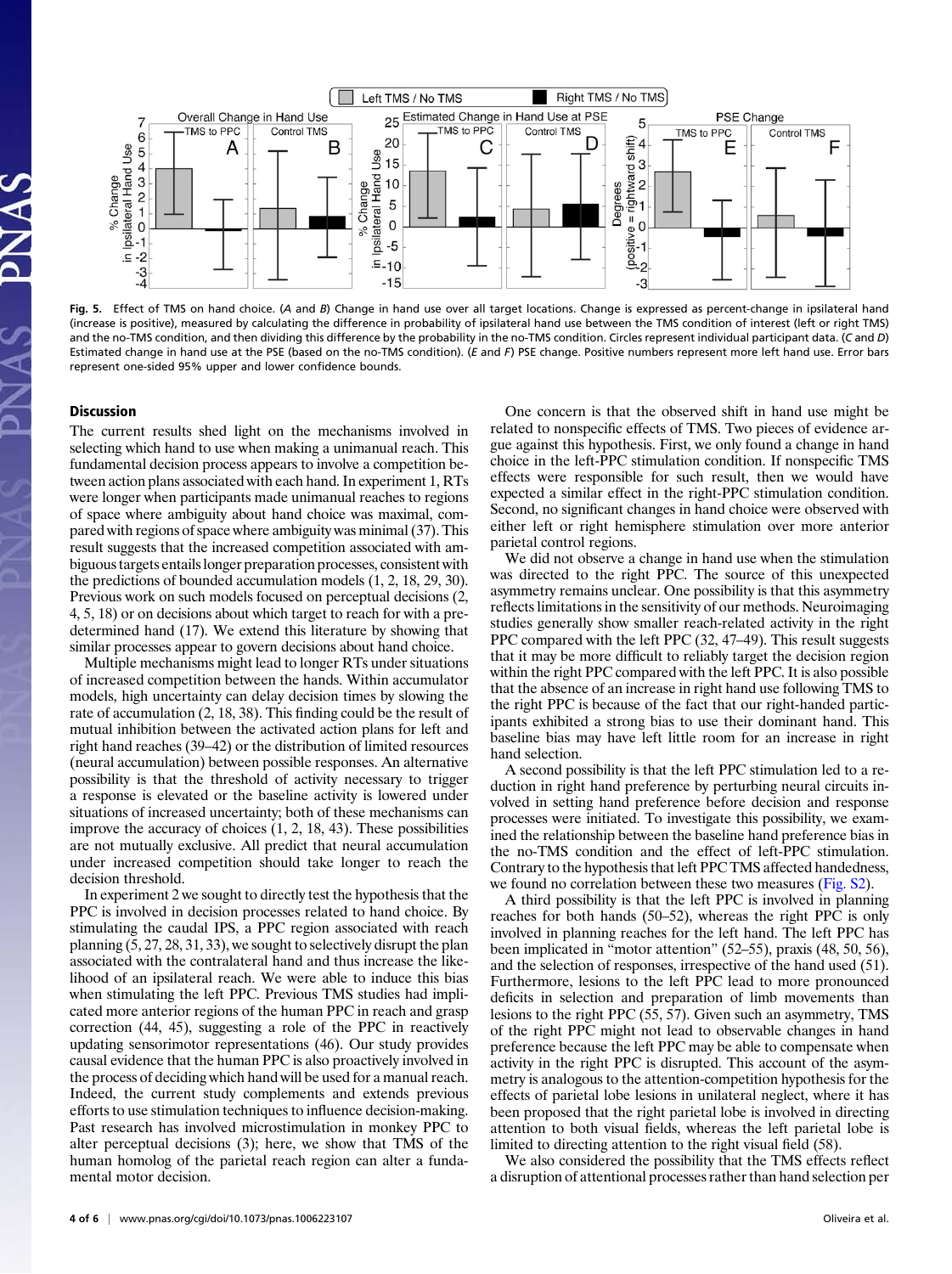

Fig. 5. Effect of TMS on hand choice. (A and B) Change in hand use over all target locations. Change is expressed as percent-change in ipsilateral hand (increase is positive), measured by calculating the difference in probability of ipsilateral hand use between the TMS condition of interest (left or right TMS) and the no-TMS condition, and then dividing this difference by the probability in the no-TMS condition. Circles represent individual participant data. (C and D) Estimated change in hand use at the PSE (based on the no-TMS condition). (E and F) PSE change. Positive numbers represent more left hand use. Error bars represent one-sided 95% upper and lower confidence bounds.

## **Discussion**

The current results shed light on the mechanisms involved in selecting which hand to use when making a unimanual reach. This fundamental decision process appears to involve a competition between action plans associated with each hand. In experiment 1, RTs were longer when participants made unimanual reaches to regions of space where ambiguity about hand choice was maximal, compared with regions of space where ambiguity was minimal (37). This result suggests that the increased competition associated with ambiguous targets entails longer preparation processes, consistent with the predictions of bounded accumulation models (1, 2, 18, 29, 30). Previous work on such models focused on perceptual decisions (2, 4, 5, 18) or on decisions about which target to reach for with a predetermined hand (17). We extend this literature by showing that similar processes appear to govern decisions about hand choice.

Multiple mechanisms might lead to longer RTs under situations of increased competition between the hands. Within accumulator models, high uncertainty can delay decision times by slowing the rate of accumulation (2, 18, 38). This finding could be the result of mutual inhibition between the activated action plans for left and right hand reaches (39–42) or the distribution of limited resources (neural accumulation) between possible responses. An alternative possibility is that the threshold of activity necessary to trigger a response is elevated or the baseline activity is lowered under situations of increased uncertainty; both of these mechanisms can improve the accuracy of choices (1, 2, 18, 43). These possibilities are not mutually exclusive. All predict that neural accumulation under increased competition should take longer to reach the decision threshold.

In experiment 2 we sought to directly test the hypothesis that the PPC is involved in decision processes related to hand choice. By stimulating the caudal IPS, a PPC region associated with reach planning (5, 27, 28, 31, 33), we sought to selectively disrupt the plan associated with the contralateral hand and thus increase the likelihood of an ipsilateral reach. We were able to induce this bias when stimulating the left PPC. Previous TMS studies had implicated more anterior regions of the human PPC in reach and grasp correction (44, 45), suggesting a role of the PPC in reactively updating sensorimotor representations (46). Our study provides causal evidence that the human PPC is also proactively involved in the process of deciding which hand will be used for a manual reach. Indeed, the current study complements and extends previous efforts to use stimulation techniques to influence decision-making. Past research has involved microstimulation in monkey PPC to alter perceptual decisions (3); here, we show that TMS of the human homolog of the parietal reach region can alter a fundamental motor decision.

One concern is that the observed shift in hand use might be related to nonspecific effects of TMS. Two pieces of evidence argue against this hypothesis. First, we only found a change in hand choice in the left-PPC stimulation condition. If nonspecific TMS effects were responsible for such result, then we would have expected a similar effect in the right-PPC stimulation condition. Second, no significant changes in hand choice were observed with either left or right hemisphere stimulation over more anterior parietal control regions.

We did not observe a change in hand use when the stimulation was directed to the right PPC. The source of this unexpected asymmetry remains unclear. One possibility is that this asymmetry reflects limitations in the sensitivity of our methods. Neuroimaging studies generally show smaller reach-related activity in the right PPC compared with the left PPC (32, 47–49). This result suggests that it may be more difficult to reliably target the decision region within the right PPC compared with the left PPC. It is also possible that the absence of an increase in right hand use following TMS to the right PPC is because of the fact that our right-handed participants exhibited a strong bias to use their dominant hand. This baseline bias may have left little room for an increase in right hand selection.

A second possibility is that the left PPC stimulation led to a reduction in right hand preference by perturbing neural circuits involved in setting hand preference before decision and response processes were initiated. To investigate this possibility, we examined the relationship between the baseline hand preference bias in the no-TMS condition and the effect of left-PPC stimulation. Contrary to the hypothesis that left PPC TMS affected handedness, we found no correlation between these two measures [\(Fig. S2\)](http://www.pnas.org/lookup/suppl/doi:10.1073/pnas.1006223107/-/DCSupplemental/pnas.201006223SI.pdf?targetid=nameddest=SF2).

A third possibility is that the left PPC is involved in planning reaches for both hands (50–52), whereas the right PPC is only involved in planning reaches for the left hand. The left PPC has been implicated in "motor attention" (52–55), praxis (48, 50, 56), and the selection of responses, irrespective of the hand used (51). Furthermore, lesions to the left PPC lead to more pronounced deficits in selection and preparation of limb movements than lesions to the right PPC (55, 57). Given such an asymmetry, TMS of the right PPC might not lead to observable changes in hand preference because the left PPC may be able to compensate when activity in the right PPC is disrupted. This account of the asymmetry is analogous to the attention-competition hypothesis for the effects of parietal lobe lesions in unilateral neglect, where it has been proposed that the right parietal lobe is involved in directing attention to both visual fields, whereas the left parietal lobe is limited to directing attention to the right visual field (58).

We also considered the possibility that the TMS effects reflect a disruption of attentional processes rather than hand selection per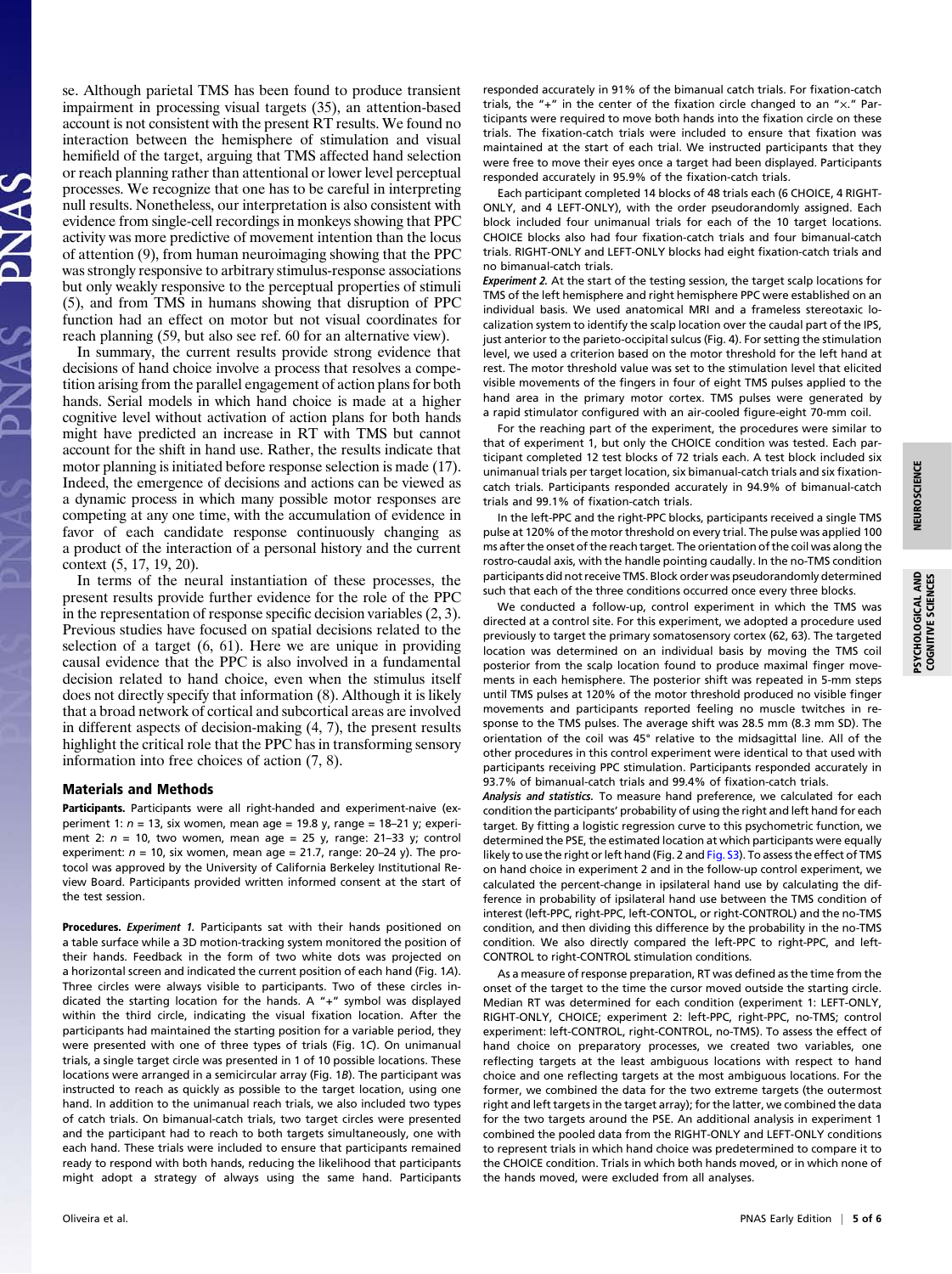se. Although parietal TMS has been found to produce transient impairment in processing visual targets (35), an attention-based account is not consistent with the present RT results. We found no interaction between the hemisphere of stimulation and visual hemifield of the target, arguing that TMS affected hand selection or reach planning rather than attentional or lower level perceptual processes. We recognize that one has to be careful in interpreting null results. Nonetheless, our interpretation is also consistent with evidence from single-cell recordings in monkeys showing that PPC activity was more predictive of movement intention than the locus of attention (9), from human neuroimaging showing that the PPC was strongly responsive to arbitrary stimulus-response associations but only weakly responsive to the perceptual properties of stimuli (5), and from TMS in humans showing that disruption of PPC function had an effect on motor but not visual coordinates for reach planning (59, but also see ref. 60 for an alternative view).

In summary, the current results provide strong evidence that decisions of hand choice involve a process that resolves a competition arising from the parallel engagement of action plans for both hands. Serial models in which hand choice is made at a higher cognitive level without activation of action plans for both hands might have predicted an increase in RT with TMS but cannot account for the shift in hand use. Rather, the results indicate that motor planning is initiated before response selection is made (17). Indeed, the emergence of decisions and actions can be viewed as a dynamic process in which many possible motor responses are competing at any one time, with the accumulation of evidence in favor of each candidate response continuously changing as a product of the interaction of a personal history and the current context (5, 17, 19, 20).

In terms of the neural instantiation of these processes, the present results provide further evidence for the role of the PPC in the representation of response specific decision variables (2, 3). Previous studies have focused on spatial decisions related to the selection of a target (6, 61). Here we are unique in providing causal evidence that the PPC is also involved in a fundamental decision related to hand choice, even when the stimulus itself does not directly specify that information (8). Although it is likely that a broad network of cortical and subcortical areas are involved in different aspects of decision-making (4, 7), the present results highlight the critical role that the PPC has in transforming sensory information into free choices of action (7, 8).

## Materials and Methods

Participants. Participants were all right-handed and experiment-naive (experiment 1:  $n = 13$ , six women, mean age = 19.8 y, range = 18-21 y; experiment 2:  $n = 10$ , two women, mean age = 25 y, range: 21-33 y; control experiment:  $n = 10$ , six women, mean age = 21.7, range: 20-24 y). The protocol was approved by the University of California Berkeley Institutional Review Board. Participants provided written informed consent at the start of the test session.

Procedures. Experiment 1. Participants sat with their hands positioned on a table surface while a 3D motion-tracking system monitored the position of their hands. Feedback in the form of two white dots was projected on a horizontal screen and indicated the current position of each hand (Fig. 1A). Three circles were always visible to participants. Two of these circles indicated the starting location for the hands. A "+" symbol was displayed within the third circle, indicating the visual fixation location. After the participants had maintained the starting position for a variable period, they were presented with one of three types of trials (Fig. 1C). On unimanual trials, a single target circle was presented in 1 of 10 possible locations. These locations were arranged in a semicircular array (Fig. 1B). The participant was instructed to reach as quickly as possible to the target location, using one hand. In addition to the unimanual reach trials, we also included two types of catch trials. On bimanual-catch trials, two target circles were presented and the participant had to reach to both targets simultaneously, one with each hand. These trials were included to ensure that participants remained ready to respond with both hands, reducing the likelihood that participants might adopt a strategy of always using the same hand. Participants responded accurately in 91% of the bimanual catch trials. For fixation-catch trials, the "+" in the center of the fixation circle changed to an "×." Participants were required to move both hands into the fixation circle on these trials. The fixation-catch trials were included to ensure that fixation was maintained at the start of each trial. We instructed participants that they were free to move their eyes once a target had been displayed. Participants responded accurately in 95.9% of the fixation-catch trials.

Each participant completed 14 blocks of 48 trials each (6 CHOICE, 4 RIGHT-ONLY, and 4 LEFT-ONLY), with the order pseudorandomly assigned. Each block included four unimanual trials for each of the 10 target locations. CHOICE blocks also had four fixation-catch trials and four bimanual-catch trials. RIGHT-ONLY and LEFT-ONLY blocks had eight fixation-catch trials and no bimanual-catch trials.

Experiment 2. At the start of the testing session, the target scalp locations for TMS of the left hemisphere and right hemisphere PPC were established on an individual basis. We used anatomical MRI and a frameless stereotaxic localization system to identify the scalp location over the caudal part of the IPS, just anterior to the parieto-occipital sulcus (Fig. 4). For setting the stimulation level, we used a criterion based on the motor threshold for the left hand at rest. The motor threshold value was set to the stimulation level that elicited visible movements of the fingers in four of eight TMS pulses applied to the hand area in the primary motor cortex. TMS pulses were generated by a rapid stimulator configured with an air-cooled figure-eight 70-mm coil.

For the reaching part of the experiment, the procedures were similar to that of experiment 1, but only the CHOICE condition was tested. Each participant completed 12 test blocks of 72 trials each. A test block included six unimanual trials per target location, six bimanual-catch trials and six fixationcatch trials. Participants responded accurately in 94.9% of bimanual-catch trials and 99.1% of fixation-catch trials.

In the left-PPC and the right-PPC blocks, participants received a single TMS pulse at 120% of the motor threshold on every trial. The pulse was applied 100 ms after the onset of the reach target. The orientation of the coil was along the rostro-caudal axis, with the handle pointing caudally. In the no-TMS condition participants did not receive TMS. Block order was pseudorandomly determined such that each of the three conditions occurred once every three blocks.

We conducted a follow-up, control experiment in which the TMS was directed at a control site. For this experiment, we adopted a procedure used previously to target the primary somatosensory cortex (62, 63). The targeted location was determined on an individual basis by moving the TMS coil posterior from the scalp location found to produce maximal finger movements in each hemisphere. The posterior shift was repeated in 5-mm steps until TMS pulses at 120% of the motor threshold produced no visible finger movements and participants reported feeling no muscle twitches in response to the TMS pulses. The average shift was 28.5 mm (8.3 mm SD). The orientation of the coil was 45° relative to the midsagittal line. All of the other procedures in this control experiment were identical to that used with participants receiving PPC stimulation. Participants responded accurately in 93.7% of bimanual-catch trials and 99.4% of fixation-catch trials.

Analysis and statistics. To measure hand preference, we calculated for each condition the participants' probability of using the right and left hand for each target. By fitting a logistic regression curve to this psychometric function, we determined the PSE, the estimated location at which participants were equally likely to use the right or left hand (Fig. 2 and [Fig. S3](http://www.pnas.org/lookup/suppl/doi:10.1073/pnas.1006223107/-/DCSupplemental/pnas.201006223SI.pdf?targetid=nameddest=SF3)). To assess the effect of TMS on hand choice in experiment 2 and in the follow-up control experiment, we calculated the percent-change in ipsilateral hand use by calculating the difference in probability of ipsilateral hand use between the TMS condition of interest (left-PPC, right-PPC, left-CONTOL, or right-CONTROL) and the no-TMS condition, and then dividing this difference by the probability in the no-TMS condition. We also directly compared the left-PPC to right-PPC, and left-CONTROL to right-CONTROL stimulation conditions.

As a measure of response preparation, RT was defined as the time from the onset of the target to the time the cursor moved outside the starting circle. Median RT was determined for each condition (experiment 1: LEFT-ONLY, RIGHT-ONLY, CHOICE; experiment 2: left-PPC, right-PPC, no-TMS; control experiment: left-CONTROL, right-CONTROL, no-TMS). To assess the effect of hand choice on preparatory processes, we created two variables, one reflecting targets at the least ambiguous locations with respect to hand choice and one reflecting targets at the most ambiguous locations. For the former, we combined the data for the two extreme targets (the outermost right and left targets in the target array); for the latter, we combined the data for the two targets around the PSE. An additional analysis in experiment 1 combined the pooled data from the RIGHT-ONLY and LEFT-ONLY conditions to represent trials in which hand choice was predetermined to compare it to the CHOICE condition. Trials in which both hands moved, or in which none of the hands moved, were excluded from all analyses.